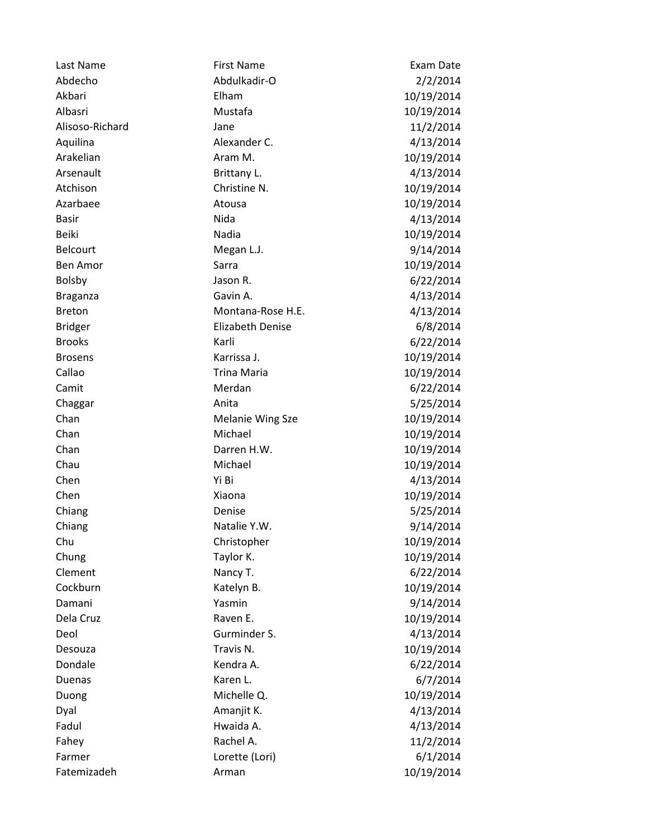| Last Name       | <b>First Name</b>       | Exam Date  |
|-----------------|-------------------------|------------|
| Abdecho         | Abdulkadir-O            | 2/2/2014   |
| Akbari          | Elham                   | 10/19/2014 |
| Albasri         | Mustafa                 | 10/19/2014 |
| Alisoso-Richard | Jane                    | 11/2/2014  |
| Aquilina        | Alexander C.            | 4/13/2014  |
| Arakelian       | Aram M.                 | 10/19/2014 |
| Arsenault       | Brittany L.             | 4/13/2014  |
| Atchison        | Christine N.            | 10/19/2014 |
| Azarbaee        | Atousa                  | 10/19/2014 |
| <b>Basir</b>    | Nida                    | 4/13/2014  |
| <b>Beiki</b>    | Nadia                   | 10/19/2014 |
| <b>Belcourt</b> | Megan L.J.              | 9/14/2014  |
| <b>Ben Amor</b> | Sarra                   | 10/19/2014 |
| <b>Bolsby</b>   | Jason R.                | 6/22/2014  |
| <b>Braganza</b> | Gavin A.                | 4/13/2014  |
| <b>Breton</b>   | Montana-Rose H.E.       | 4/13/2014  |
| <b>Bridger</b>  | <b>Elizabeth Denise</b> | 6/8/2014   |
| <b>Brooks</b>   | Karli                   | 6/22/2014  |
| <b>Brosens</b>  | Karrissa J.             | 10/19/2014 |
| Callao          | <b>Trina Maria</b>      | 10/19/2014 |
| Camit           | Merdan                  | 6/22/2014  |
| Chaggar         | Anita                   | 5/25/2014  |
| Chan            | <b>Melanie Wing Sze</b> | 10/19/2014 |
| Chan            | Michael                 | 10/19/2014 |
| Chan            | Darren H.W.             | 10/19/2014 |
| Chau            | Michael                 | 10/19/2014 |
| Chen            | Yi Bi                   | 4/13/2014  |
| Chen            | Xiaona                  | 10/19/2014 |
| Chiang          | Denise                  | 5/25/2014  |
| Chiang          | Natalie Y.W.            | 9/14/2014  |
| Chu             | Christopher             | 10/19/2014 |
| Chung           | Taylor K.               | 10/19/2014 |
| Clement         | Nancy T.                | 6/22/2014  |
| Cockburn        | Katelyn B.              | 10/19/2014 |
| Damani          | Yasmin                  | 9/14/2014  |
| Dela Cruz       | Raven E.                | 10/19/2014 |
| Deol            | Gurminder S.            | 4/13/2014  |
| Desouza         | Travis N.               | 10/19/2014 |
| Dondale         | Kendra A.               | 6/22/2014  |
| Duenas          | Karen L.                | 6/7/2014   |
| Duong           | Michelle Q.             | 10/19/2014 |
| Dyal            | Amanjit K.              | 4/13/2014  |
| Fadul           | Hwaida A.               | 4/13/2014  |
| Fahey           | Rachel A.               | 11/2/2014  |
| Farmer          | Lorette (Lori)          | 6/1/2014   |
| Fatemizadeh     | Arman                   | 10/19/2014 |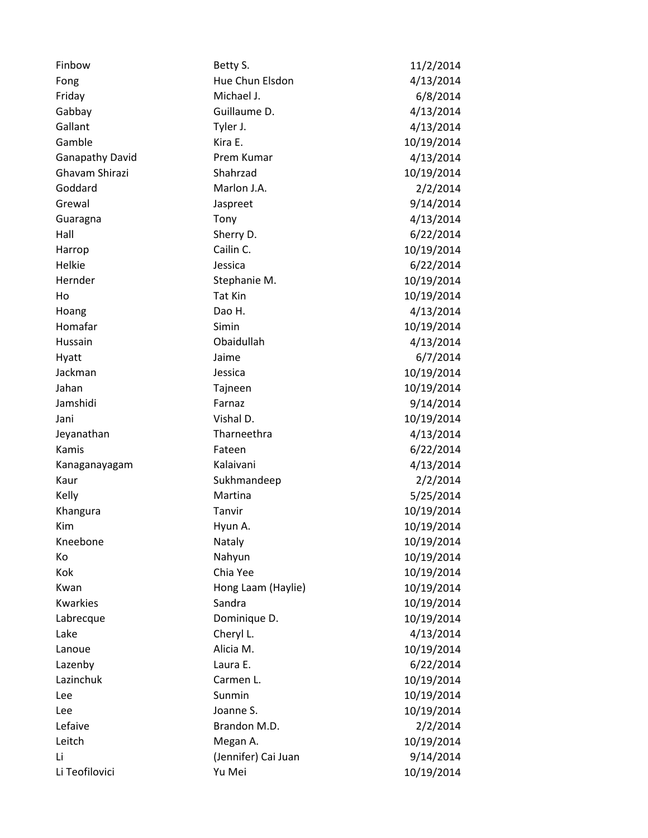| Finbow                 | Betty S.            | 11/2/2014  |
|------------------------|---------------------|------------|
| Fong                   | Hue Chun Elsdon     | 4/13/2014  |
| Friday                 | Michael J.          | 6/8/2014   |
| Gabbay                 | Guillaume D.        | 4/13/2014  |
| Gallant                | Tyler J.            | 4/13/2014  |
| Gamble                 | Kira E.             | 10/19/2014 |
| <b>Ganapathy David</b> | Prem Kumar          | 4/13/2014  |
| Ghavam Shirazi         | Shahrzad            | 10/19/2014 |
| Goddard                | Marlon J.A.         | 2/2/2014   |
| Grewal                 | Jaspreet            | 9/14/2014  |
| Guaragna               | Tony                | 4/13/2014  |
| Hall                   | Sherry D.           | 6/22/2014  |
| Harrop                 | Cailin C.           | 10/19/2014 |
| Helkie                 | Jessica             | 6/22/2014  |
| Hernder                | Stephanie M.        | 10/19/2014 |
| Ho                     | Tat Kin             | 10/19/2014 |
| Hoang                  | Dao H.              | 4/13/2014  |
| Homafar                | Simin               | 10/19/2014 |
| Hussain                | Obaidullah          | 4/13/2014  |
| Hyatt                  | Jaime               | 6/7/2014   |
| Jackman                | Jessica             | 10/19/2014 |
| Jahan                  | Tajneen             | 10/19/2014 |
| Jamshidi               | Farnaz              | 9/14/2014  |
| Jani                   | Vishal D.           | 10/19/2014 |
| Jeyanathan             | Tharneethra         | 4/13/2014  |
| Kamis                  | Fateen              | 6/22/2014  |
| Kanaganayagam          | Kalaivani           | 4/13/2014  |
| Kaur                   | Sukhmandeep         | 2/2/2014   |
| Kelly                  | Martina             | 5/25/2014  |
| Khangura               | Tanvir              | 10/19/2014 |
| Kim                    | Hyun A.             | 10/19/2014 |
| Kneebone               | Nataly              | 10/19/2014 |
| Кo                     | Nahyun              | 10/19/2014 |
| Kok                    | Chia Yee            | 10/19/2014 |
| Kwan                   | Hong Laam (Haylie)  | 10/19/2014 |
| Kwarkies               | Sandra              | 10/19/2014 |
| Labrecque              | Dominique D.        | 10/19/2014 |
| Lake                   | Cheryl L.           | 4/13/2014  |
| Lanoue                 | Alicia M.           | 10/19/2014 |
| Lazenby                | Laura E.            | 6/22/2014  |
| Lazinchuk              | Carmen L.           | 10/19/2014 |
| Lee                    | Sunmin              | 10/19/2014 |
| Lee                    | Joanne S.           | 10/19/2014 |
| Lefaive                | Brandon M.D.        | 2/2/2014   |
| Leitch                 | Megan A.            | 10/19/2014 |
| Li                     | (Jennifer) Cai Juan | 9/14/2014  |
| Li Teofilovici         | Yu Mei              | 10/19/2014 |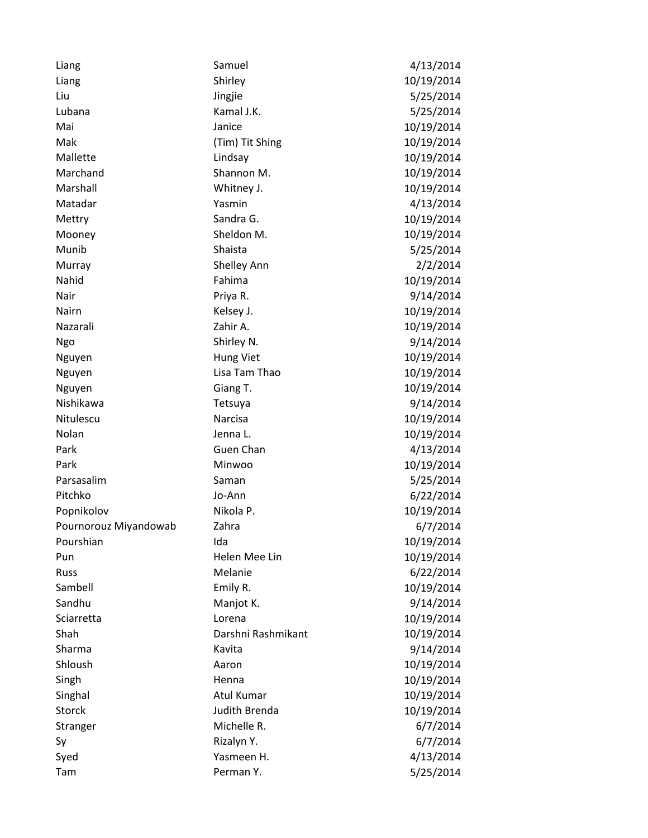| Liang                 | Samuel             | 4/13/2014  |
|-----------------------|--------------------|------------|
| Liang                 | Shirley            | 10/19/2014 |
| Liu                   | Jingjie            | 5/25/2014  |
| Lubana                | Kamal J.K.         | 5/25/2014  |
| Mai                   | Janice             | 10/19/2014 |
| Mak                   | (Tim) Tit Shing    | 10/19/2014 |
| Mallette              | Lindsay            | 10/19/2014 |
| Marchand              | Shannon M.         | 10/19/2014 |
| Marshall              | Whitney J.         | 10/19/2014 |
| Matadar               | Yasmin             | 4/13/2014  |
| Mettry                | Sandra G.          | 10/19/2014 |
| Mooney                | Sheldon M.         | 10/19/2014 |
| Munib                 | Shaista            | 5/25/2014  |
| Murray                | Shelley Ann        | 2/2/2014   |
| Nahid                 | Fahima             | 10/19/2014 |
| Nair                  | Priya R.           | 9/14/2014  |
| <b>Nairn</b>          | Kelsey J.          | 10/19/2014 |
| Nazarali              | Zahir A.           | 10/19/2014 |
| Ngo                   | Shirley N.         | 9/14/2014  |
| Nguyen                | Hung Viet          | 10/19/2014 |
| Nguyen                | Lisa Tam Thao      | 10/19/2014 |
| Nguyen                | Giang T.           | 10/19/2014 |
| Nishikawa             | Tetsuya            | 9/14/2014  |
| Nitulescu             | Narcisa            | 10/19/2014 |
| Nolan                 | Jenna L.           | 10/19/2014 |
| Park                  | Guen Chan          | 4/13/2014  |
| Park                  | Minwoo             | 10/19/2014 |
| Parsasalim            | Saman              | 5/25/2014  |
| Pitchko               | Jo-Ann             | 6/22/2014  |
| Popnikolov            | Nikola P.          | 10/19/2014 |
| Pournorouz Miyandowab | Zahra              | 6/7/2014   |
| Pourshian             | Ida                | 10/19/2014 |
| Pun                   | Helen Mee Lin      | 10/19/2014 |
| <b>Russ</b>           | Melanie            | 6/22/2014  |
| Sambell               | Emily R.           | 10/19/2014 |
| Sandhu                | Manjot K.          | 9/14/2014  |
| Sciarretta            | Lorena             | 10/19/2014 |
| Shah                  | Darshni Rashmikant | 10/19/2014 |
| Sharma                | Kavita             | 9/14/2014  |
| Shloush               | Aaron              | 10/19/2014 |
| Singh                 | Henna              | 10/19/2014 |
| Singhal               | <b>Atul Kumar</b>  | 10/19/2014 |
| <b>Storck</b>         | Judith Brenda      | 10/19/2014 |
| Stranger              | Michelle R.        | 6/7/2014   |
| Sy                    | Rizalyn Y.         | 6/7/2014   |
| Syed                  | Yasmeen H.         | 4/13/2014  |
| Tam                   | Perman Y.          | 5/25/2014  |